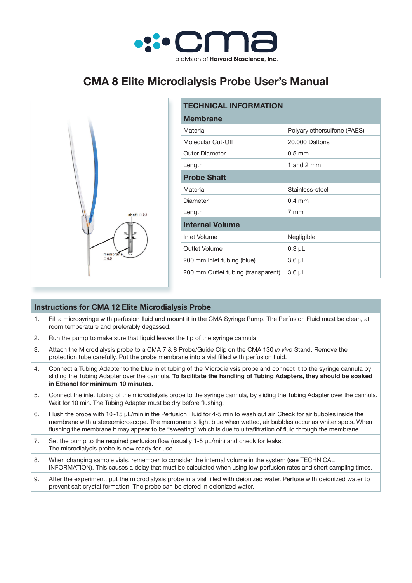

# **CMA 8 Elite Microdialysis Probe User's Manual**



| <b>TECHNICAL INFORMATION</b>       |                             |
|------------------------------------|-----------------------------|
| <b>Membrane</b>                    |                             |
| Material                           | Polyarylethersulfone (PAES) |
| Molecular Cut-Off                  | 20,000 Daltons              |
| <b>Outer Diameter</b>              | $0.5$ mm                    |
| Length                             | 1 and 2 mm                  |
| <b>Probe Shaft</b>                 |                             |
| Material                           | Stainless-steel             |
| Diameter                           | $0.4 \text{ mm}$            |
| Length                             | 7 mm                        |
| <b>Internal Volume</b>             |                             |
| <b>Inlet Volume</b>                | Negligible                  |
| Outlet Volume                      | $0.3 \mu L$                 |
| 200 mm Inlet tubing (blue)         | $3.6 \mu L$                 |
| 200 mm Outlet tubing (transparent) | $3.6 \mu L$                 |

## **Instructions for CMA 12 Elite Microdialysis Probe** 1. Fill a microsyringe with perfusion fluid and mount it in the CMA Syringe Pump. The Perfusion Fluid must be clean, at room temperature and preferably degassed. 2. Run the pump to make sure that liquid leaves the tip of the syringe cannula. 3. Attach the Microdialysis probe to a CMA 7 & 8 Probe/Guide Clip on the CMA 130 *in vivo* Stand. Remove the protection tube carefully. Put the probe membrane into a vial filled with perfusion fluid. 4. Connect a Tubing Adapter to the blue inlet tubing of the Microdialysis probe and connect it to the syringe cannula by sliding the Tubing Adapter over the cannula. **To facilitate the handling of Tubing Adapters, they should be soaked in Ethanol for minimum 10 minutes.** 5. Connect the inlet tubing of the microdialysis probe to the syringe cannula, by sliding the Tubing Adapter over the cannula. Wait for 10 min. The Tubing Adapter must be dry before flushing. 6. Flush the probe with 10-15 µL/min in the Perfusion Fluid for 4-5 min to wash out air. Check for air bubbles inside the membrane with a stereomicroscope. The membrane is light blue when wetted, air bubbles occur as whiter spots. When flushing the membrane it may appear to be "sweating" which is due to ultrafiltration of fluid through the membrane. 7. Set the pump to the required perfusion flow (usually  $1-5 \mu L/min$ ) and check for leaks. The microdialysis probe is now ready for use. 8. When changing sample vials, remember to consider the internal volume in the system (see TECHNICAL INFORMATION). This causes a delay that must be calculated when using low perfusion rates and short sampling times. 9. After the experiment, put the microdialysis probe in a vial filled with deionized water. Perfuse with deionized water to prevent salt crystal formation. The probe can be stored in deionized water.